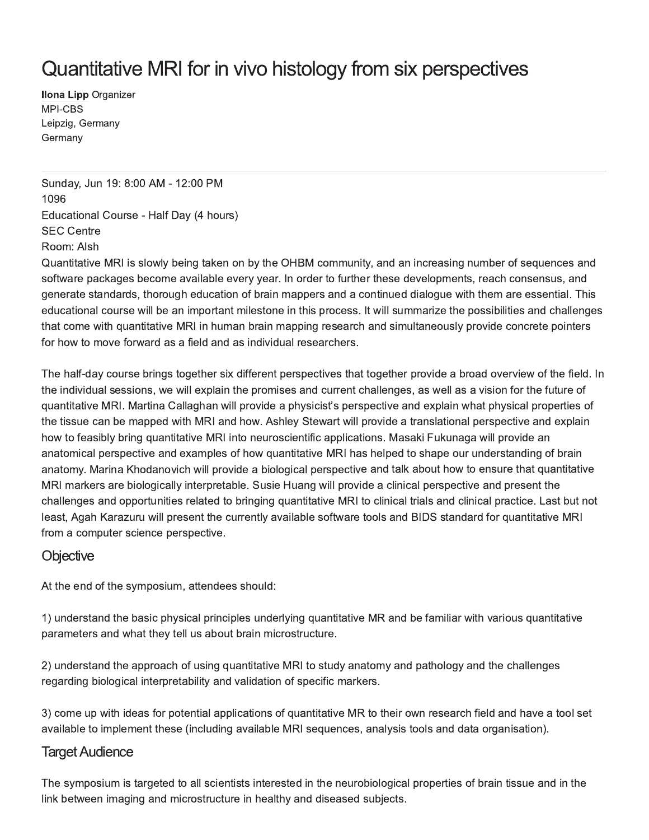# Quantitative MRI for in vivo histology from six perspectives

**Ilona Lipp Organizer** MPI-CBS Leipzig, Germany Germany

Sunday, Jun 19: 8:00 AM - 12:00 PM 1096 Educational Course - Half Day (4 hours) **SEC Centre** Room: Alsh

Quantitative MRI is slowly being taken on by the OHBM community, and an increasing number of sequences and software packages become available every year. In order to further these developments, reach consensus, and generate standards, thorough education of brain mappers and a continued dialogue with them are essential. This educational course will be an important milestone in this process. It will summarize the possibilities and challenges that come with quantitative MRI in human brain mapping research and simultaneously provide concrete pointers for how to move forward as a field and as individual researchers.

The half-day course brings together six different perspectives that together provide a broad overview of the field. In the individual sessions, we will explain the promises and current challenges, as well as a vision for the future of quantitative MRI. Martina Callaghan will provide a physicist's perspective and explain what physical properties of the tissue can be mapped with MRI and how. Ashley Stewart will provide a translational perspective and explain how to feasibly bring quantitative MRI into neuroscientific applications. Masaki Fukunaga will provide an anatomical perspective and examples of how quantitative MRI has helped to shape our understanding of brain anatomy. Marina Khodanovich will provide a biological perspective and talk about how to ensure that quantitative MRI markers are biologically interpretable. Susie Huang will provide a clinical perspective and present the challenges and opportunities related to bringing quantitative MRI to clinical trials and clinical practice. Last but not least, Agah Karazuru will present the currently available software tools and BIDS standard for quantitative MRI from a computer science perspective.

## Objective

At the end of the symposium, attendees should:

1) understand the basic physical principles underlying quantitative MR and be familiar with various quantitative parameters and what they tell us about brain microstructure.

2) understand the approach of using quantitative MRI to study anatomy and pathology and the challenges regarding biological interpretability and validation of specific markers.

3) come up with ideas for potential applications of quantitative MR to their own research field and have a tool set available to implement these (including available MRI sequences, analysis tools and data organisation).

## **Target Audience**

The symposium is targeted to all scientists interested in the neurobiological properties of brain tissue and in the link between imaging and microstructure in healthy and diseased subjects.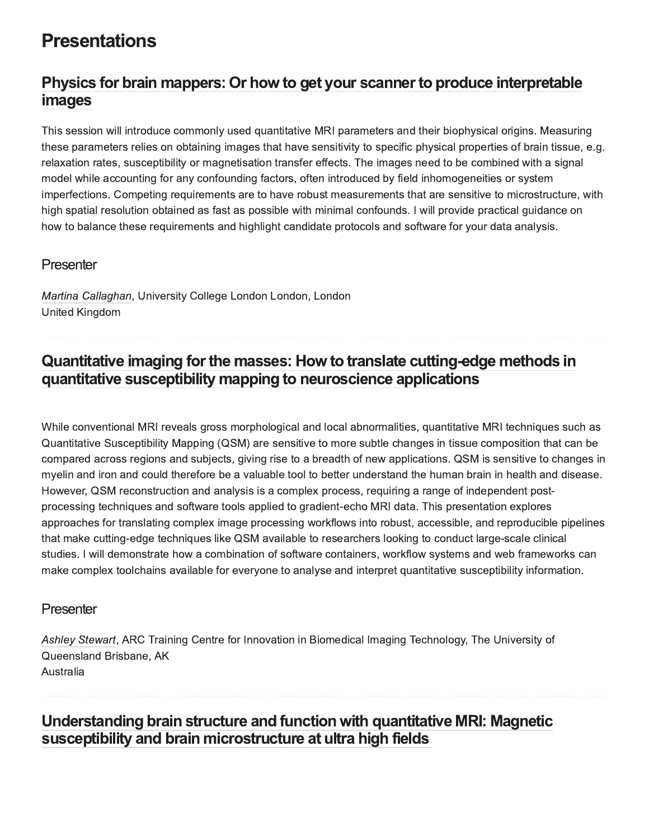# **Presentations**

## Physics for brain mappers: Or how to get your scanner to produce interpretable *images*

This session will introduce commonly used quantitative MRI parameters and their biophysical origins. Measuring these parameters relies on obtaining images that have sensitivity to specific physical properties of brain tissue, e.g. relaxation rates, susceptibility or magnetisation transfer effects. The images need to be combined with a signal model while accounting for any confounding factors, often introduced by field inhomogeneities or system imperfections. Competing requirements are to have robust measurements that are sensitive to microstructure, with high spatial resolution obtained as fast as possible with minimal confounds. I will provide practical guidance on how to balance these requirements and highlight candidate protocols and software for your data analysis.

## Presenter

Martina Callaghan, University College London London, London United Kingdom

## Quantitative imaging for the masses: How to translate cutting-edge methods in quantitative susceptibility mapping to neuroscience applications !"#V%

While conventional MRI reveals gross morphological and local abnormalities, quantitative MRI techniques such as Quantitative Susceptibility Mapping (QSM) are sensitive to more subtle changes in tissue composition that can be compared across regions and subjects, giving rise to a breadth of new applications. QSM is sensitive to changes in myelin and iron and could therefore be a valuable tool to better understand the human brain in health and disease. However, QSM reconstruction and analysis is a complex process, requiring a range of independent postprocessing techniques and software tools applied to gradient-echo MRI data. This presentation explores approaches for translating complex image processing workflows into robust, accessible, and reproducible pipelines that make cutting-edge techniques like QSM available to researchers looking to conduct large-scale clinical studies. I will demonstrate how a combination of software containers, workflow systems and web frameworks can make complex toolchains available for everyone to analyse and interpret quantitative susceptibility information.

## Presenter

Ashley Stewart, ARC Training Centre for Innovation in Biomedical Imaging Technology, The University of Queensland Brisbane, AK Australia

## Understanding brain structure and function with quantitative MRI: Magnetic susceptibility and brain microstructure at ultra high fields !"lm%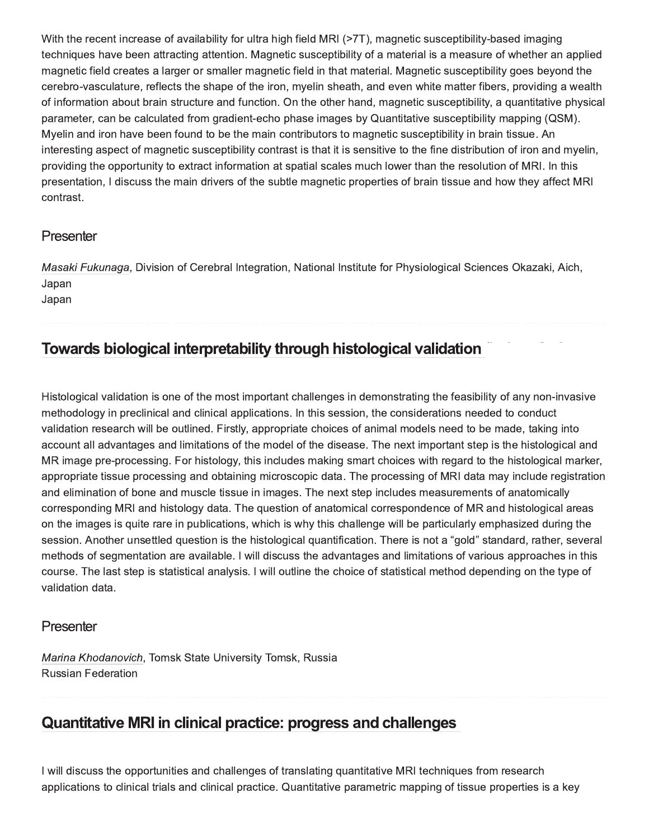With the recent increase of availability for ultra high field MRI (>7T), magnetic susceptibility-based imaging techniques have been attracting attention. Magnetic susceptibility of a material is a measure of whether an applied magnetic field creates a larger or smaller magnetic field in that material. Magnetic susceptibility goes beyond the cerebro-vasculature, reflects the shape of the iron, myelin sheath, and even white matter fibers, providing a wealth of information about brain structure and function. On the other hand, magnetic susceptibility, a quantitative physical parameter, can be calculated from gradient-echo phase images by Quantitative susceptibility mapping (QSM). Myelin and iron have been found to be the main contributors to magnetic susceptibility in brain tissue. An interesting aspect of magnetic susceptibility contrast is that it is sensitive to the fine distribution of iron and myelin, providing the opportunity to extract information at spatial scales much lower than the resolution of MRI. In this presentation, I discuss the main drivers of the subtle magnetic properties of brain tissue and how they affect MRI contrast.

## Presenter

Masaki Fukunaga, Division of Cerebral Integration, National Institute for Physiological Sciences Okazaki, Aich, Japan

Japan

## Towards biological interpretability through histological validation

Histological validation is one of the most important challenges in demonstrating the feasibility of any non-invasive methodology in preclinical and clinical applications. In this session, the considerations needed to conduct validation research will be outlined. Firstly, appropriate choices of animal models need to be made, taking into account all advantages and limitations of the model of the disease. The next important step is the histological and MR image pre-processing. For histology, this includes making smart choices with regard to the histological marker, appropriate tissue processing and obtaining microscopic data. The processing of MRI data may include registration and elimination of bone and muscle tissue in images. The next step includes measurements of anatomically corresponding MRI and histology data. The question of anatomical correspondence of MR and histological areas on the images is quite rare in publications, which is why this challenge will be particularly emphasized during the session. Another unsettled question is the histological quantification. There is not a "gold" standard, rather, several methods of segmentation are available. I will discuss the advantages and limitations of various approaches in this course. The last step is statistical analysis. I will outline the choice of statistical method depending on the type of validation data.

#### Presenter

Marina Khodanovich, Tomsk State University Tomsk, Russia **Russian Federation** 

## **Quantitative MRI in clinical practice: progress and challenges**

I will discuss the opportunities and challenges of translating quantitative MRI techniques from research applications to clinical trials and clinical practice. Quantitative parametric mapping of tissue properties is a key